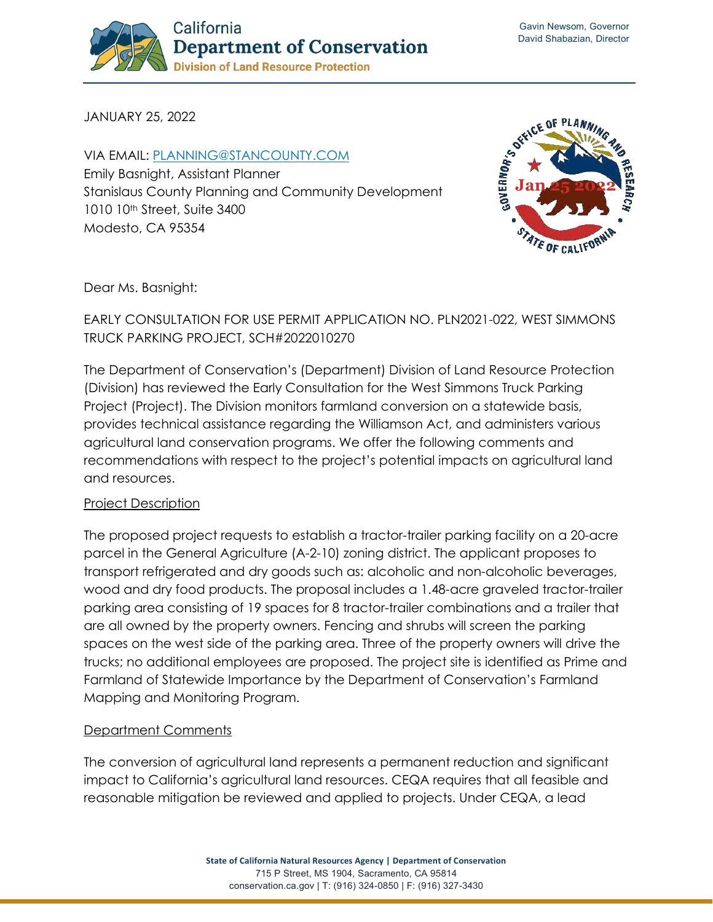

JANUARY 25, 2022

VIA EMAIL: [PLANNING@STANCOUNTY.COM](mailto:Planning@stancounty.com) Emily Basnight, Assistant Planner Stanislaus County Planning and Community Development 1010 10th Street, Suite 3400 Modesto, CA 95354



Dear Ms. Basnight:

# EARLY CONSULTATION FOR USE PERMIT APPLICATION NO. PLN2021-022, WEST SIMMONS TRUCK PARKING PROJECT, SCH#2022010270

The Department of Conservation's (Department) Division of Land Resource Protection (Division) has reviewed the Early Consultation for the West Simmons Truck Parking Project (Project). The Division monitors farmland conversion on a statewide basis, provides technical assistance regarding the Williamson Act, and administers various agricultural land conservation programs. We offer the following comments and recommendations with respect to the project's potential impacts on agricultural land and resources.

### Project Description

The proposed project requests to establish a tractor-trailer parking facility on a 20-acre parcel in the General Agriculture (A-2-10) zoning district. The applicant proposes to transport refrigerated and dry goods such as: alcoholic and non-alcoholic beverages, wood and dry food products. The proposal includes a 1.48-acre graveled tractor-trailer parking area consisting of 19 spaces for 8 tractor-trailer combinations and a trailer that are all owned by the property owners. Fencing and shrubs will screen the parking spaces on the west side of the parking area. Three of the property owners will drive the trucks; no additional employees are proposed. The project site is identified as Prime and Farmland of Statewide Importance by the Department of Conservation's Farmland Mapping and Monitoring Program.

## Department Comments

The conversion of agricultural land represents a permanent reduction and significant impact to California's agricultural land resources. CEQA requires that all feasible and reasonable mitigation be reviewed and applied to projects. Under CEQA, a lead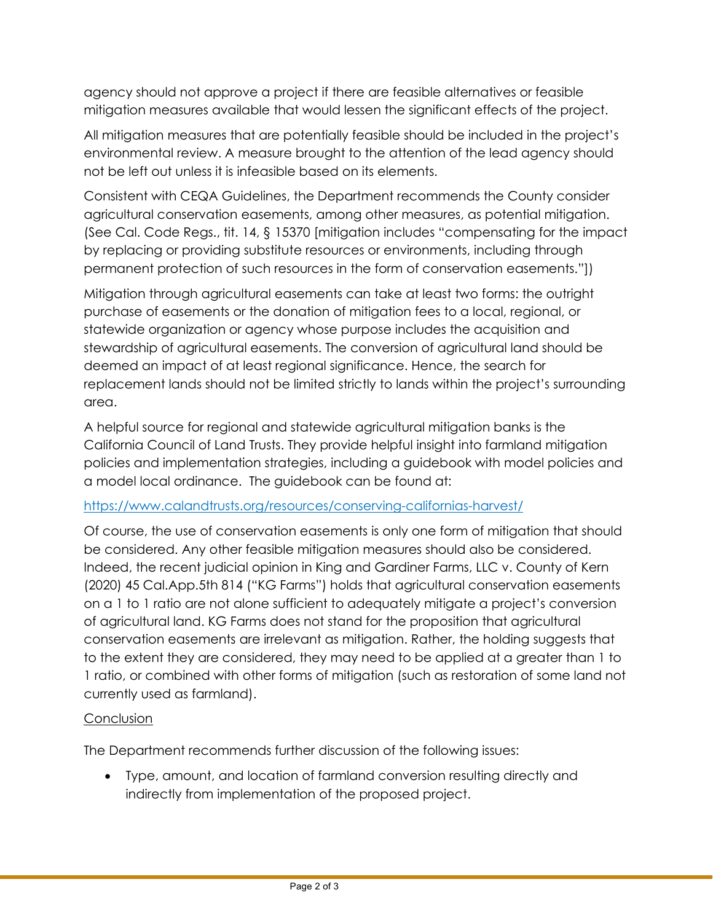agency should not approve a project if there are feasible alternatives or feasible mitigation measures available that would lessen the significant effects of the project.

All mitigation measures that are potentially feasible should be included in the project's environmental review. A measure brought to the attention of the lead agency should not be left out unless it is infeasible based on its elements.

Consistent with CEQA Guidelines, the Department recommends the County consider agricultural conservation easements, among other measures, as potential mitigation. (See Cal. Code Regs., tit. 14, § 15370 [mitigation includes "compensating for the impact by replacing or providing substitute resources or environments, including through permanent protection of such resources in the form of conservation easements."])

Mitigation through agricultural easements can take at least two forms: the outright purchase of easements or the donation of mitigation fees to a local, regional, or statewide organization or agency whose purpose includes the acquisition and stewardship of agricultural easements. The conversion of agricultural land should be deemed an impact of at least regional significance. Hence, the search for replacement lands should not be limited strictly to lands within the project's surrounding area.

A helpful source for regional and statewide agricultural mitigation banks is the California Council of Land Trusts. They provide helpful insight into farmland mitigation policies and implementation strategies, including a guidebook with model policies and a model local ordinance. The guidebook can be found at:

### <https://www.calandtrusts.org/resources/conserving-californias-harvest/>

Of course, the use of conservation easements is only one form of mitigation that should be considered. Any other feasible mitigation measures should also be considered. Indeed, the recent judicial opinion in King and Gardiner Farms, LLC v. County of Kern (2020) 45 Cal.App.5th 814 ("KG Farms") holds that agricultural conservation easements on a 1 to 1 ratio are not alone sufficient to adequately mitigate a project's conversion of agricultural land. KG Farms does not stand for the proposition that agricultural conservation easements are irrelevant as mitigation. Rather, the holding suggests that to the extent they are considered, they may need to be applied at a greater than 1 to 1 ratio, or combined with other forms of mitigation (such as restoration of some land not currently used as farmland).

## **Conclusion**

The Department recommends further discussion of the following issues:

• Type, amount, and location of farmland conversion resulting directly and indirectly from implementation of the proposed project.